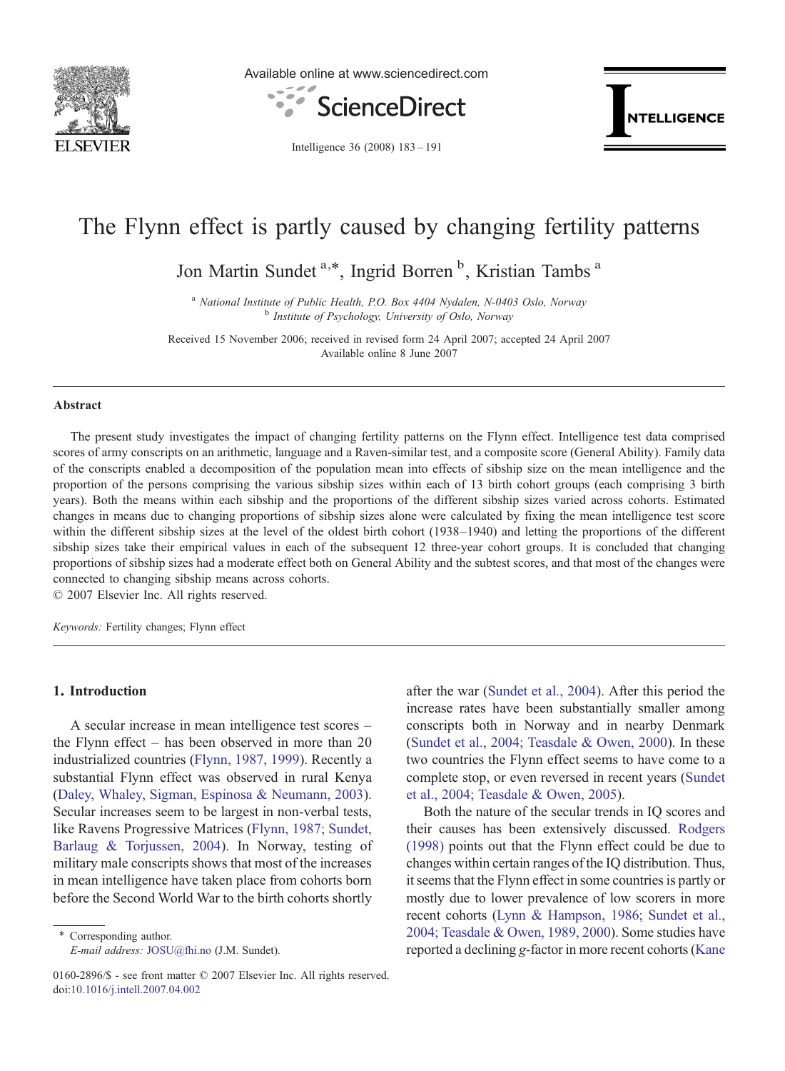

Available online at www.sciencedirect.com



**NTELLIGENCE** 

Intelligence 36 (2008) 183–191

# The Flynn effect is partly caused by changing fertility patterns

Jon Martin Sundet <sup>a,\*</sup>, Ingrid Borren<sup>b</sup>, Kristian Tambs <sup>a</sup>

<sup>a</sup> National Institute of Public Health, P.O. Box 4404 Nydalen, N-0403 Oslo, Norway b Institute of Psychology, University of Oslo, Norway

Received 15 November 2006; received in revised form 24 April 2007; accepted 24 April 2007 Available online 8 June 2007

## Abstract

The present study investigates the impact of changing fertility patterns on the Flynn effect. Intelligence test data comprised scores of army conscripts on an arithmetic, language and a Raven-similar test, and a composite score (General Ability). Family data of the conscripts enabled a decomposition of the population mean into effects of sibship size on the mean intelligence and the proportion of the persons comprising the various sibship sizes within each of 13 birth cohort groups (each comprising 3 birth years). Both the means within each sibship and the proportions of the different sibship sizes varied across cohorts. Estimated changes in means due to changing proportions of sibship sizes alone were calculated by fixing the mean intelligence test score within the different sibship sizes at the level of the oldest birth cohort (1938–1940) and letting the proportions of the different sibship sizes take their empirical values in each of the subsequent 12 three-year cohort groups. It is concluded that changing proportions of sibship sizes had a moderate effect both on General Ability and the subtest scores, and that most of the changes were connected to changing sibship means across cohorts.

© 2007 Elsevier Inc. All rights reserved.

Keywords: Fertility changes; Flynn effect

#### 1. Introduction

A secular increase in mean intelligence test scores – the Flynn effect – has been observed in more than 20 industrialized countries ([Flynn, 1987, 1999\)](#page-7-0). Recently a substantial Flynn effect was observed in rural Kenya [\(Daley, Whaley, Sigman, Espinosa & Neumann, 2003](#page-7-0)). Secular increases seem to be largest in non-verbal tests, like Ravens Progressive Matrices ([Flynn, 1987; Sundet,](#page-7-0) [Barlaug & Torjussen, 2004](#page-7-0)). In Norway, testing of military male conscripts shows that most of the increases in mean intelligence have taken place from cohorts born before the Second World War to the birth cohorts shortly

⁎ Corresponding author. E-mail address: [JOSU@fhi.no](mailto:JOSU@fhi.no) (J.M. Sundet).

after the war [\(Sundet et al., 2004\)](#page-8-0). After this period the increase rates have been substantially smaller among conscripts both in Norway and in nearby Denmark [\(Sundet et al., 2004; Teasdale & Owen, 2000](#page-8-0)). In these two countries the Flynn effect seems to have come to a complete stop, or even reversed in recent years ([Sundet](#page-8-0) [et al., 2004; Teasdale & Owen, 2005](#page-8-0)).

Both the nature of the secular trends in IQ scores and their causes has been extensively discussed. [Rodgers](#page-8-0) [\(1998\)](#page-8-0) points out that the Flynn effect could be due to changes within certain ranges of the IQ distribution. Thus, it seems that the Flynn effect in some countries is partly or mostly due to lower prevalence of low scorers in more recent cohorts ([Lynn & Hampson, 1986; Sundet et al.,](#page-8-0) [2004; Teasdale & Owen, 1989, 2000\)](#page-8-0). Some studies have reported a declining g-factor in more recent cohorts [\(Kane](#page-8-0)

<sup>0160-2896/\$ -</sup> see front matter © 2007 Elsevier Inc. All rights reserved. doi[:10.1016/j.intell.2007.04.002](http://dx.doi.org/10.1016/j.intell.2007.04.002)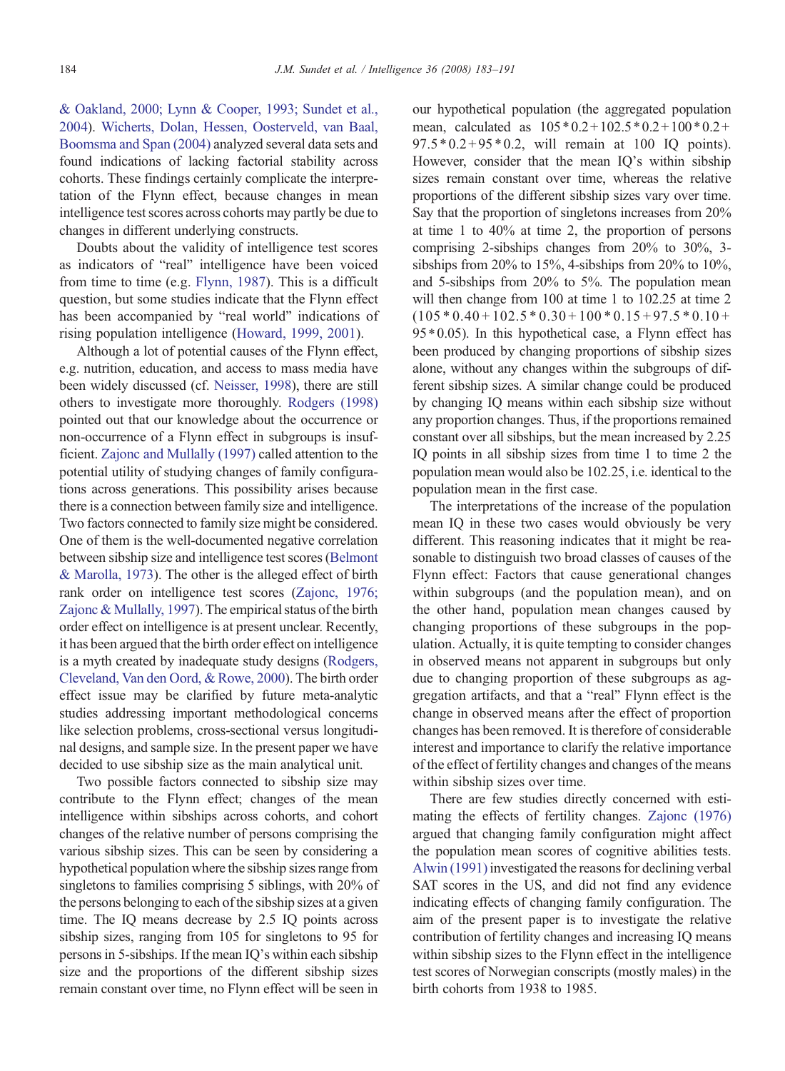[& Oakland, 2000; Lynn & Cooper, 1993; Sundet et al.,](#page-8-0) [2004\)](#page-8-0). [Wicherts, Dolan, Hessen, Oosterveld, van Baal,](#page-8-0) [Boomsma and Span \(2004\)](#page-8-0) analyzed several data sets and found indications of lacking factorial stability across cohorts. These findings certainly complicate the interpretation of the Flynn effect, because changes in mean intelligence test scores across cohorts may partly be due to changes in different underlying constructs.

Doubts about the validity of intelligence test scores as indicators of "real" intelligence have been voiced from time to time (e.g. [Flynn, 1987](#page-7-0)). This is a difficult question, but some studies indicate that the Flynn effect has been accompanied by "real world" indications of rising population intelligence [\(Howard, 1999, 2001](#page-8-0)).

Although a lot of potential causes of the Flynn effect, e.g. nutrition, education, and access to mass media have been widely discussed (cf. [Neisser, 1998](#page-8-0)), there are still others to investigate more thoroughly. [Rodgers \(1998\)](#page-8-0) pointed out that our knowledge about the occurrence or non-occurrence of a Flynn effect in subgroups is insufficient. [Zajonc and Mullally \(1997\)](#page-8-0) called attention to the potential utility of studying changes of family configurations across generations. This possibility arises because there is a connection between family size and intelligence. Two factors connected to family size might be considered. One of them is the well-documented negative correlation between sibship size and intelligence test scores ([Belmont](#page-7-0) [& Marolla, 1973\)](#page-7-0). The other is the alleged effect of birth rank order on intelligence test scores [\(Zajonc, 1976;](#page-8-0) [Zajonc & Mullally, 1997](#page-8-0)). The empirical status of the birth order effect on intelligence is at present unclear. Recently, it has been argued that the birth order effect on intelligence is a myth created by inadequate study designs [\(Rodgers,](#page-8-0) [Cleveland, Van den Oord, & Rowe, 2000\)](#page-8-0). The birth order effect issue may be clarified by future meta-analytic studies addressing important methodological concerns like selection problems, cross-sectional versus longitudinal designs, and sample size. In the present paper we have decided to use sibship size as the main analytical unit.

Two possible factors connected to sibship size may contribute to the Flynn effect; changes of the mean intelligence within sibships across cohorts, and cohort changes of the relative number of persons comprising the various sibship sizes. This can be seen by considering a hypothetical population where the sibship sizes range from singletons to families comprising 5 siblings, with 20% of the persons belonging to each of the sibship sizes at a given time. The IQ means decrease by 2.5 IQ points across sibship sizes, ranging from 105 for singletons to 95 for persons in 5-sibships. If the mean IQ's within each sibship size and the proportions of the different sibship sizes remain constant over time, no Flynn effect will be seen in

our hypothetical population (the aggregated population mean, calculated as  $105 * 0.2 + 102.5 * 0.2 + 100 * 0.2 +$  $97.5 * 0.2 + 95 * 0.2$ , will remain at 100 IQ points). However, consider that the mean IQ's within sibship sizes remain constant over time, whereas the relative proportions of the different sibship sizes vary over time. Say that the proportion of singletons increases from 20% at time 1 to 40% at time 2, the proportion of persons comprising 2-sibships changes from 20% to 30%, 3 sibships from 20% to 15%, 4-sibships from 20% to 10%, and 5-sibships from 20% to 5%. The population mean will then change from 100 at time 1 to 102.25 at time 2  $(105 * 0.40 + 102.5 * 0.30 + 100 * 0.15 + 97.5 * 0.10 +$  $95*0.05$ ). In this hypothetical case, a Flynn effect has been produced by changing proportions of sibship sizes alone, without any changes within the subgroups of different sibship sizes. A similar change could be produced by changing IQ means within each sibship size without any proportion changes. Thus, if the proportions remained constant over all sibships, but the mean increased by 2.25 IQ points in all sibship sizes from time 1 to time 2 the population mean would also be 102.25, i.e. identical to the population mean in the first case.

The interpretations of the increase of the population mean IQ in these two cases would obviously be very different. This reasoning indicates that it might be reasonable to distinguish two broad classes of causes of the Flynn effect: Factors that cause generational changes within subgroups (and the population mean), and on the other hand, population mean changes caused by changing proportions of these subgroups in the population. Actually, it is quite tempting to consider changes in observed means not apparent in subgroups but only due to changing proportion of these subgroups as aggregation artifacts, and that a "real" Flynn effect is the change in observed means after the effect of proportion changes has been removed. It is therefore of considerable interest and importance to clarify the relative importance of the effect of fertility changes and changes of the means within sibship sizes over time.

There are few studies directly concerned with estimating the effects of fertility changes. [Zajonc \(1976\)](#page-8-0) argued that changing family configuration might affect the population mean scores of cognitive abilities tests. [Alwin \(1991\)](#page-7-0) investigated the reasons for declining verbal SAT scores in the US, and did not find any evidence indicating effects of changing family configuration. The aim of the present paper is to investigate the relative contribution of fertility changes and increasing IQ means within sibship sizes to the Flynn effect in the intelligence test scores of Norwegian conscripts (mostly males) in the birth cohorts from 1938 to 1985.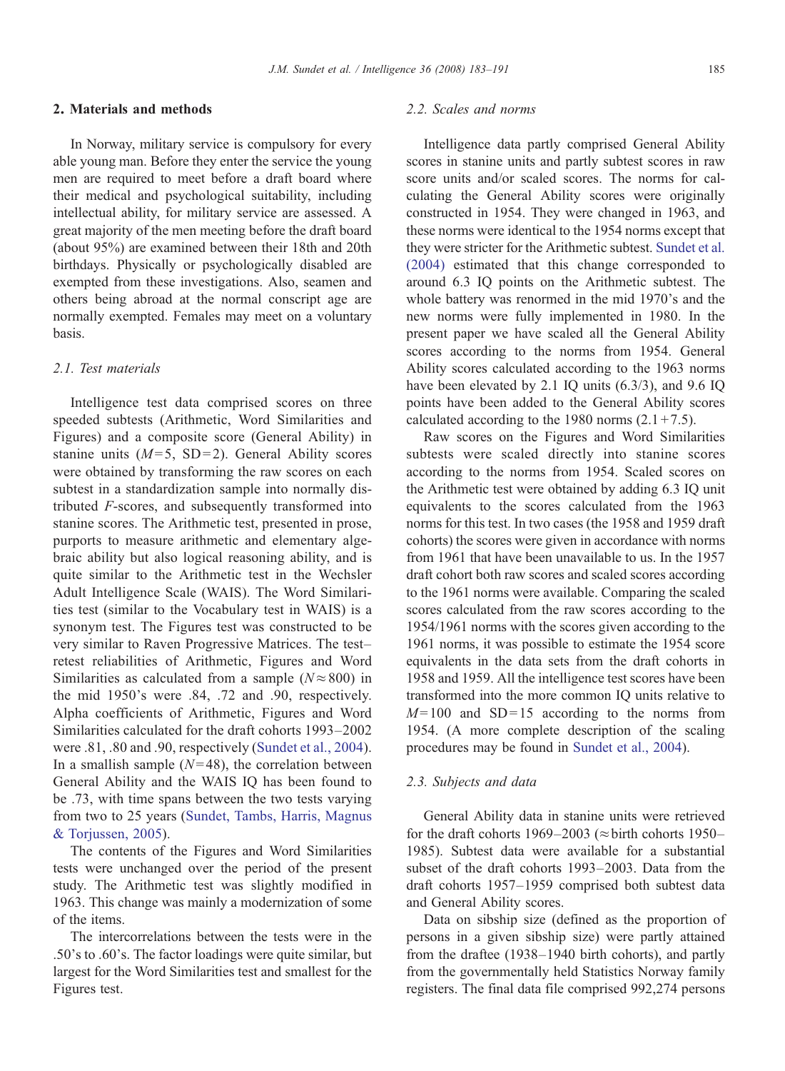### 2. Materials and methods

In Norway, military service is compulsory for every able young man. Before they enter the service the young men are required to meet before a draft board where their medical and psychological suitability, including intellectual ability, for military service are assessed. A great majority of the men meeting before the draft board (about 95%) are examined between their 18th and 20th birthdays. Physically or psychologically disabled are exempted from these investigations. Also, seamen and others being abroad at the normal conscript age are normally exempted. Females may meet on a voluntary basis.

## 2.1. Test materials

Intelligence test data comprised scores on three speeded subtests (Arithmetic, Word Similarities and Figures) and a composite score (General Ability) in stanine units  $(M=5, SD=2)$ . General Ability scores were obtained by transforming the raw scores on each subtest in a standardization sample into normally distributed F-scores, and subsequently transformed into stanine scores. The Arithmetic test, presented in prose, purports to measure arithmetic and elementary algebraic ability but also logical reasoning ability, and is quite similar to the Arithmetic test in the Wechsler Adult Intelligence Scale (WAIS). The Word Similarities test (similar to the Vocabulary test in WAIS) is a synonym test. The Figures test was constructed to be very similar to Raven Progressive Matrices. The test– retest reliabilities of Arithmetic, Figures and Word Similarities as calculated from a sample ( $N \approx 800$ ) in the mid 1950's were .84, .72 and .90, respectively. Alpha coefficients of Arithmetic, Figures and Word Similarities calculated for the draft cohorts 1993–2002 were .81, .80 and .90, respectively [\(Sundet et al., 2004](#page-8-0)). In a smallish sample  $(N= 48)$ , the correlation between General Ability and the WAIS IQ has been found to be .73, with time spans between the two tests varying from two to 25 years ([Sundet, Tambs, Harris, Magnus](#page-8-0) [& Torjussen, 2005](#page-8-0)).

The contents of the Figures and Word Similarities tests were unchanged over the period of the present study. The Arithmetic test was slightly modified in 1963. This change was mainly a modernization of some of the items.

The intercorrelations between the tests were in the .50's to .60's. The factor loadings were quite similar, but largest for the Word Similarities test and smallest for the Figures test.

# 2.2. Scales and norms

Intelligence data partly comprised General Ability scores in stanine units and partly subtest scores in raw score units and/or scaled scores. The norms for calculating the General Ability scores were originally constructed in 1954. They were changed in 1963, and these norms were identical to the 1954 norms except that they were stricter for the Arithmetic subtest. [Sundet et al.](#page-8-0) [\(2004\)](#page-8-0) estimated that this change corresponded to around 6.3 IQ points on the Arithmetic subtest. The whole battery was renormed in the mid 1970's and the new norms were fully implemented in 1980. In the present paper we have scaled all the General Ability scores according to the norms from 1954. General Ability scores calculated according to the 1963 norms have been elevated by 2.1 IQ units (6.3/3), and 9.6 IQ points have been added to the General Ability scores calculated according to the 1980 norms  $(2.1 + 7.5)$ .

Raw scores on the Figures and Word Similarities subtests were scaled directly into stanine scores according to the norms from 1954. Scaled scores on the Arithmetic test were obtained by adding 6.3 IQ unit equivalents to the scores calculated from the 1963 norms for this test. In two cases (the 1958 and 1959 draft cohorts) the scores were given in accordance with norms from 1961 that have been unavailable to us. In the 1957 draft cohort both raw scores and scaled scores according to the 1961 norms were available. Comparing the scaled scores calculated from the raw scores according to the 1954/1961 norms with the scores given according to the 1961 norms, it was possible to estimate the 1954 score equivalents in the data sets from the draft cohorts in 1958 and 1959. All the intelligence test scores have been transformed into the more common IQ units relative to  $M=100$  and SD = 15 according to the norms from 1954. (A more complete description of the scaling procedures may be found in [Sundet et al., 2004](#page-8-0)).

#### 2.3. Subjects and data

General Ability data in stanine units were retrieved for the draft cohorts 1969–2003 ( $\approx$  birth cohorts 1950– 1985). Subtest data were available for a substantial subset of the draft cohorts 1993–2003. Data from the draft cohorts 1957–1959 comprised both subtest data and General Ability scores.

Data on sibship size (defined as the proportion of persons in a given sibship size) were partly attained from the draftee (1938–1940 birth cohorts), and partly from the governmentally held Statistics Norway family registers. The final data file comprised 992,274 persons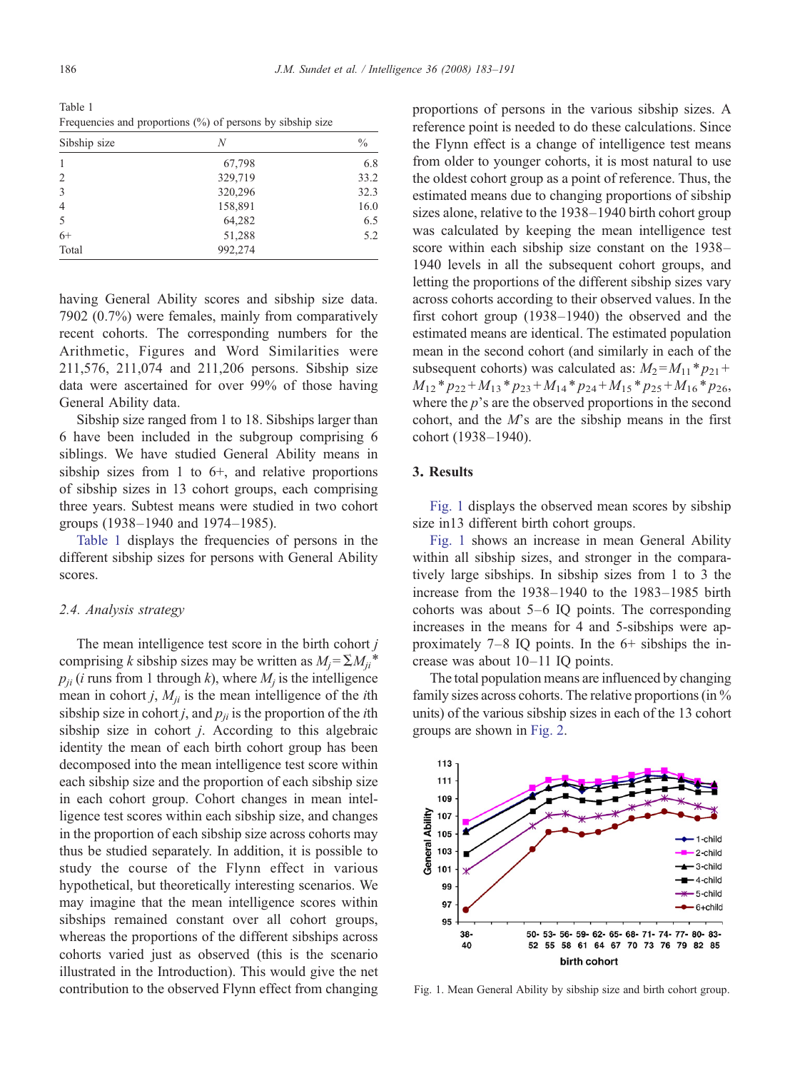<span id="page-3-0"></span>Table 1 Frequencies and proportions  $(\%)$  of persons by sibship size

| Sibship size   | N       | $\frac{0}{0}$ |  |
|----------------|---------|---------------|--|
|                | 67,798  | 6.8           |  |
| $\overline{2}$ | 329,719 | 33.2          |  |
| 3              | 320,296 | 32.3          |  |
| $\overline{4}$ | 158,891 | 16.0          |  |
| 5              | 64,282  | 6.5           |  |
| $6+$           | 51,288  | 5.2           |  |
| Total          | 992,274 |               |  |

having General Ability scores and sibship size data. 7902 (0.7%) were females, mainly from comparatively recent cohorts. The corresponding numbers for the Arithmetic, Figures and Word Similarities were 211,576, 211,074 and 211,206 persons. Sibship size data were ascertained for over 99% of those having General Ability data.

Sibship size ranged from 1 to 18. Sibships larger than 6 have been included in the subgroup comprising 6 siblings. We have studied General Ability means in sibship sizes from 1 to 6+, and relative proportions of sibship sizes in 13 cohort groups, each comprising three years. Subtest means were studied in two cohort groups (1938–1940 and 1974–1985).

Table 1 displays the frequencies of persons in the different sibship sizes for persons with General Ability scores.

## 2.4. Analysis strategy

The mean intelligence test score in the birth cohort j comprising k sibship sizes may be written as  $M_i = \sum M_{ii}^*$  $p_{ji}$  (*i* runs from 1 through *k*), where  $M_i$  is the intelligence mean in cohort *j*,  $M_{ii}$  is the mean intelligence of the *i*th sibship size in cohort *j*, and  $p_{ji}$  is the proportion of the *i*th sibship size in cohort  $j$ . According to this algebraic identity the mean of each birth cohort group has been decomposed into the mean intelligence test score within each sibship size and the proportion of each sibship size in each cohort group. Cohort changes in mean intelligence test scores within each sibship size, and changes in the proportion of each sibship size across cohorts may thus be studied separately. In addition, it is possible to study the course of the Flynn effect in various hypothetical, but theoretically interesting scenarios. We may imagine that the mean intelligence scores within sibships remained constant over all cohort groups, whereas the proportions of the different sibships across cohorts varied just as observed (this is the scenario illustrated in the Introduction). This would give the net contribution to the observed Flynn effect from changing proportions of persons in the various sibship sizes. A reference point is needed to do these calculations. Since the Flynn effect is a change of intelligence test means from older to younger cohorts, it is most natural to use the oldest cohort group as a point of reference. Thus, the estimated means due to changing proportions of sibship sizes alone, relative to the 1938–1940 birth cohort group was calculated by keeping the mean intelligence test score within each sibship size constant on the 1938– 1940 levels in all the subsequent cohort groups, and letting the proportions of the different sibship sizes vary across cohorts according to their observed values. In the first cohort group (1938–1940) the observed and the estimated means are identical. The estimated population mean in the second cohort (and similarly in each of the subsequent cohorts) was calculated as:  $M_2 = M_{11} * p_{21} +$  $M_{12} * p_{22} + M_{13} * p_{23} + M_{14} * p_{24} + M_{15} * p_{25} + M_{16} * p_{26}$ where the  $p$ 's are the observed proportions in the second cohort, and the  $M$ 's are the sibship means in the first cohort (1938–1940).

## 3. Results

Fig. 1 displays the observed mean scores by sibship size in13 different birth cohort groups.

Fig. 1 shows an increase in mean General Ability within all sibship sizes, and stronger in the comparatively large sibships. In sibship sizes from 1 to 3 the increase from the 1938–1940 to the 1983–1985 birth cohorts was about 5–6 IQ points. The corresponding increases in the means for 4 and 5-sibships were approximately 7–8 IQ points. In the 6+ sibships the increase was about 10–11 IQ points.

The total population means are influenced by changing family sizes across cohorts. The relative proportions (in  $\%$ ) units) of the various sibship sizes in each of the 13 cohort groups are shown in [Fig. 2](#page-4-0).



Fig. 1. Mean General Ability by sibship size and birth cohort group.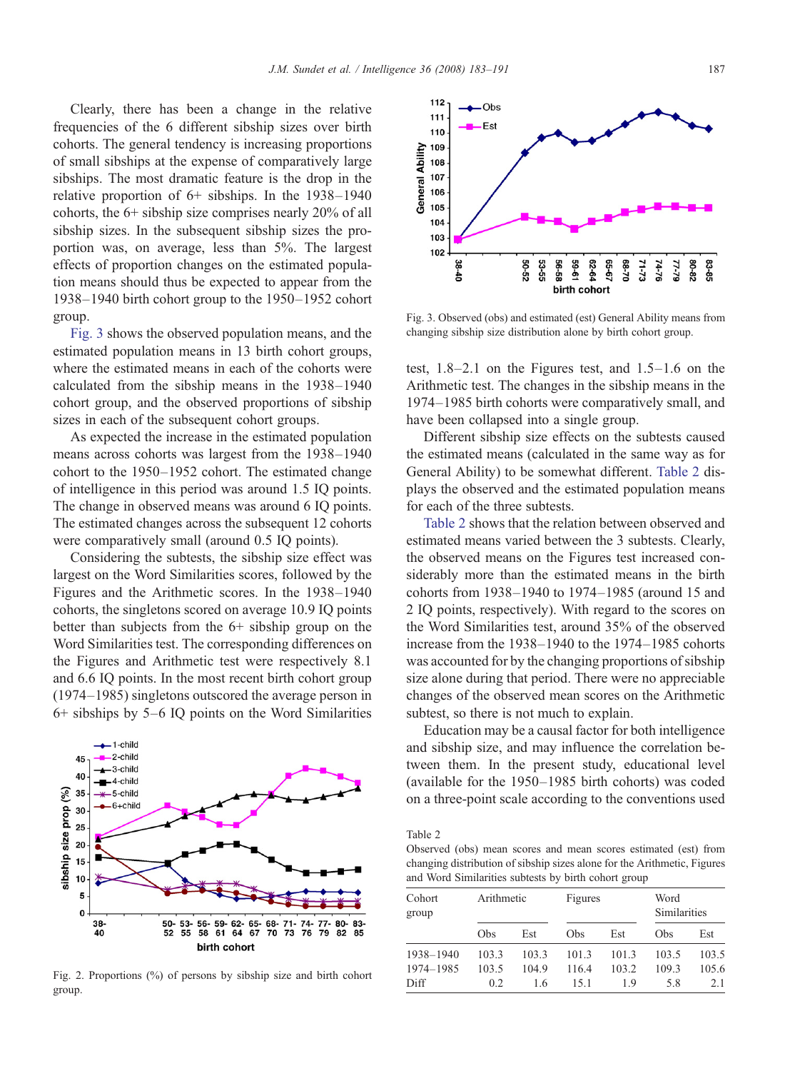<span id="page-4-0"></span>Clearly, there has been a change in the relative frequencies of the 6 different sibship sizes over birth cohorts. The general tendency is increasing proportions of small sibships at the expense of comparatively large sibships. The most dramatic feature is the drop in the relative proportion of 6+ sibships. In the 1938–1940 cohorts, the 6+ sibship size comprises nearly 20% of all sibship sizes. In the subsequent sibship sizes the proportion was, on average, less than 5%. The largest effects of proportion changes on the estimated population means should thus be expected to appear from the 1938–1940 birth cohort group to the 1950–1952 cohort group.

Fig. 3 shows the observed population means, and the estimated population means in 13 birth cohort groups, where the estimated means in each of the cohorts were calculated from the sibship means in the 1938–1940 cohort group, and the observed proportions of sibship sizes in each of the subsequent cohort groups.

As expected the increase in the estimated population means across cohorts was largest from the 1938–1940 cohort to the 1950–1952 cohort. The estimated change of intelligence in this period was around 1.5 IQ points. The change in observed means was around 6 IQ points. The estimated changes across the subsequent 12 cohorts were comparatively small (around 0.5 IQ points).

Considering the subtests, the sibship size effect was largest on the Word Similarities scores, followed by the Figures and the Arithmetic scores. In the 1938–1940 cohorts, the singletons scored on average 10.9 IQ points better than subjects from the 6+ sibship group on the Word Similarities test. The corresponding differences on the Figures and Arithmetic test were respectively 8.1 and 6.6 IQ points. In the most recent birth cohort group (1974–1985) singletons outscored the average person in 6+ sibships by 5–6 IQ points on the Word Similarities



Fig. 2. Proportions (%) of persons by sibship size and birth cohort group.



Fig. 3. Observed (obs) and estimated (est) General Ability means from changing sibship size distribution alone by birth cohort group.

test, 1.8–2.1 on the Figures test, and 1.5–1.6 on the Arithmetic test. The changes in the sibship means in the 1974–1985 birth cohorts were comparatively small, and have been collapsed into a single group.

Different sibship size effects on the subtests caused the estimated means (calculated in the same way as for General Ability) to be somewhat different. Table 2 displays the observed and the estimated population means for each of the three subtests.

Table 2 shows that the relation between observed and estimated means varied between the 3 subtests. Clearly, the observed means on the Figures test increased considerably more than the estimated means in the birth cohorts from 1938–1940 to 1974–1985 (around 15 and 2 IQ points, respectively). With regard to the scores on the Word Similarities test, around 35% of the observed increase from the 1938–1940 to the 1974–1985 cohorts was accounted for by the changing proportions of sibship size alone during that period. There were no appreciable changes of the observed mean scores on the Arithmetic subtest, so there is not much to explain.

Education may be a causal factor for both intelligence and sibship size, and may influence the correlation between them. In the present study, educational level (available for the 1950–1985 birth cohorts) was coded on a three-point scale according to the conventions used

Table 2

Observed (obs) mean scores and mean scores estimated (est) from changing distribution of sibship sizes alone for the Arithmetic, Figures and Word Similarities subtests by birth cohort group

| Cohort<br>group | Arithmetic |       | Figures |       | Word<br>Similarities |       |
|-----------------|------------|-------|---------|-------|----------------------|-------|
|                 | Obs        | Est   | Obs     | Est   | Obs                  | Est   |
| 1938-1940       | 103.3      | 103.3 | 101.3   | 101.3 | 103.5                | 103.5 |
| 1974-1985       | 103.5      | 104.9 | 116.4   | 103.2 | 109.3                | 105.6 |
| Diff            | 0.2        | 1.6   | 15.1    | 19    | 5.8                  | 2.1   |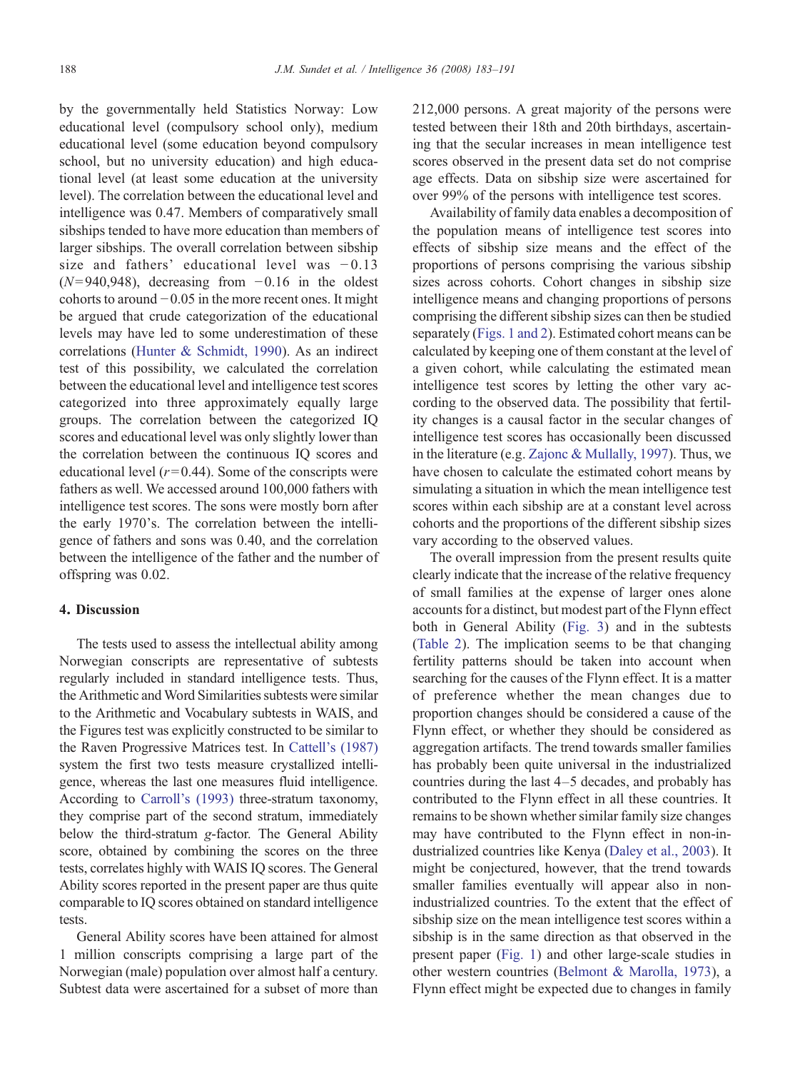by the governmentally held Statistics Norway: Low educational level (compulsory school only), medium educational level (some education beyond compulsory school, but no university education) and high educational level (at least some education at the university level). The correlation between the educational level and intelligence was 0.47. Members of comparatively small sibships tended to have more education than members of larger sibships. The overall correlation between sibship size and fathers' educational level was -0.13  $(N= 940.948)$ , decreasing from  $-0.16$  in the oldest cohorts to around  $-0.05$  in the more recent ones. It might be argued that crude categorization of the educational levels may have led to some underestimation of these correlations [\(Hunter & Schmidt, 1990\)](#page-8-0). As an indirect test of this possibility, we calculated the correlation between the educational level and intelligence test scores categorized into three approximately equally large groups. The correlation between the categorized IQ scores and educational level was only slightly lower than the correlation between the continuous IQ scores and educational level  $(r= 0.44)$ . Some of the conscripts were fathers as well. We accessed around 100,000 fathers with intelligence test scores. The sons were mostly born after the early 1970's. The correlation between the intelligence of fathers and sons was 0.40, and the correlation between the intelligence of the father and the number of offspring was 0.02.

# 4. Discussion

The tests used to assess the intellectual ability among Norwegian conscripts are representative of subtests regularly included in standard intelligence tests. Thus, the Arithmetic and Word Similarities subtests were similar to the Arithmetic and Vocabulary subtests in WAIS, and the Figures test was explicitly constructed to be similar to the Raven Progressive Matrices test. In [Cattell's \(1987\)](#page-7-0) system the first two tests measure crystallized intelligence, whereas the last one measures fluid intelligence. According to [Carroll's \(1993\)](#page-7-0) three-stratum taxonomy, they comprise part of the second stratum, immediately below the third-stratum g-factor. The General Ability score, obtained by combining the scores on the three tests, correlates highly with WAIS IQ scores. The General Ability scores reported in the present paper are thus quite comparable to IQ scores obtained on standard intelligence tests.

General Ability scores have been attained for almost 1 million conscripts comprising a large part of the Norwegian (male) population over almost half a century. Subtest data were ascertained for a subset of more than

212,000 persons. A great majority of the persons were tested between their 18th and 20th birthdays, ascertaining that the secular increases in mean intelligence test scores observed in the present data set do not comprise age effects. Data on sibship size were ascertained for over 99% of the persons with intelligence test scores.

Availability of family data enables a decomposition of the population means of intelligence test scores into effects of sibship size means and the effect of the proportions of persons comprising the various sibship sizes across cohorts. Cohort changes in sibship size intelligence means and changing proportions of persons comprising the different sibship sizes can then be studied separately [\(Figs. 1 and 2](#page-3-0)). Estimated cohort means can be calculated by keeping one of them constant at the level of a given cohort, while calculating the estimated mean intelligence test scores by letting the other vary according to the observed data. The possibility that fertility changes is a causal factor in the secular changes of intelligence test scores has occasionally been discussed in the literature (e.g. [Zajonc & Mullally, 1997\)](#page-8-0). Thus, we have chosen to calculate the estimated cohort means by simulating a situation in which the mean intelligence test scores within each sibship are at a constant level across cohorts and the proportions of the different sibship sizes vary according to the observed values.

The overall impression from the present results quite clearly indicate that the increase of the relative frequency of small families at the expense of larger ones alone accounts for a distinct, but modest part of the Flynn effect both in General Ability ([Fig. 3](#page-4-0)) and in the subtests [\(Table 2](#page-4-0)). The implication seems to be that changing fertility patterns should be taken into account when searching for the causes of the Flynn effect. It is a matter of preference whether the mean changes due to proportion changes should be considered a cause of the Flynn effect, or whether they should be considered as aggregation artifacts. The trend towards smaller families has probably been quite universal in the industrialized countries during the last 4–5 decades, and probably has contributed to the Flynn effect in all these countries. It remains to be shown whether similar family size changes may have contributed to the Flynn effect in non-industrialized countries like Kenya ([Daley et al., 2003](#page-7-0)). It might be conjectured, however, that the trend towards smaller families eventually will appear also in nonindustrialized countries. To the extent that the effect of sibship size on the mean intelligence test scores within a sibship is in the same direction as that observed in the present paper ([Fig. 1](#page-3-0)) and other large-scale studies in other western countries [\(Belmont & Marolla, 1973\)](#page-7-0), a Flynn effect might be expected due to changes in family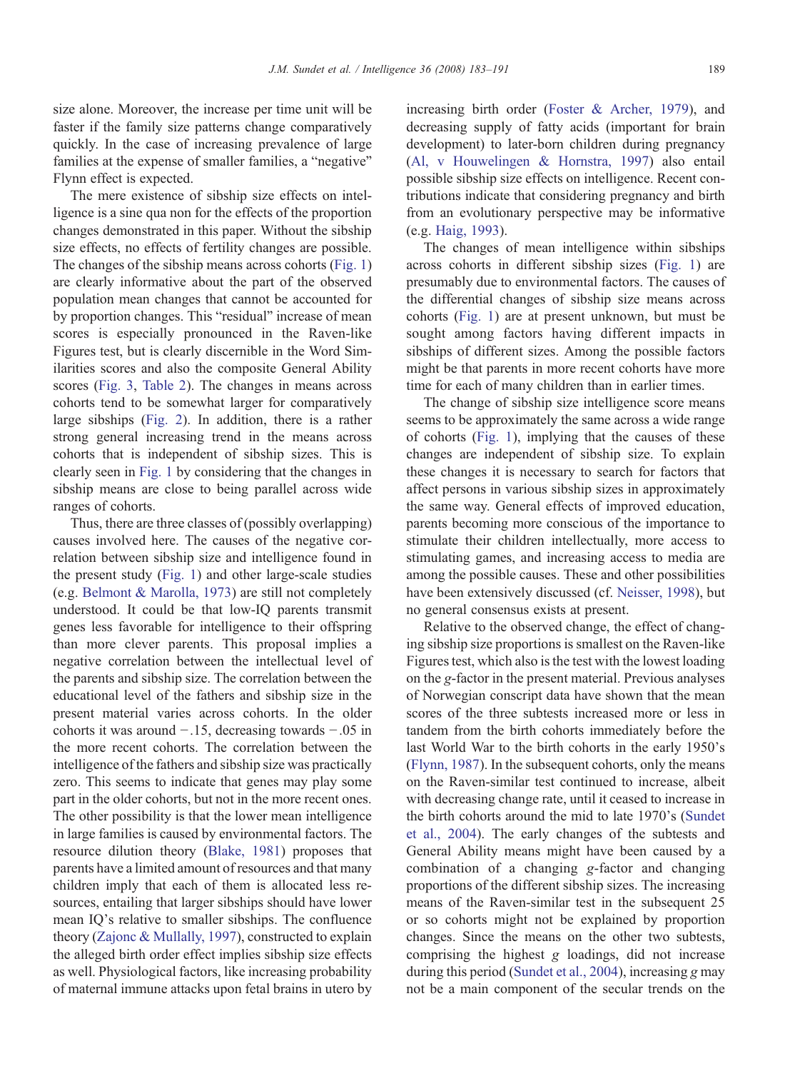size alone. Moreover, the increase per time unit will be faster if the family size patterns change comparatively quickly. In the case of increasing prevalence of large families at the expense of smaller families, a "negative" Flynn effect is expected.

The mere existence of sibship size effects on intelligence is a sine qua non for the effects of the proportion changes demonstrated in this paper. Without the sibship size effects, no effects of fertility changes are possible. The changes of the sibship means across cohorts ([Fig. 1\)](#page-3-0) are clearly informative about the part of the observed population mean changes that cannot be accounted for by proportion changes. This "residual" increase of mean scores is especially pronounced in the Raven-like Figures test, but is clearly discernible in the Word Similarities scores and also the composite General Ability scores [\(Fig. 3,](#page-4-0) [Table 2](#page-4-0)). The changes in means across cohorts tend to be somewhat larger for comparatively large sibships [\(Fig. 2\)](#page-4-0). In addition, there is a rather strong general increasing trend in the means across cohorts that is independent of sibship sizes. This is clearly seen in [Fig. 1](#page-3-0) by considering that the changes in sibship means are close to being parallel across wide ranges of cohorts.

Thus, there are three classes of (possibly overlapping) causes involved here. The causes of the negative correlation between sibship size and intelligence found in the present study [\(Fig. 1\)](#page-3-0) and other large-scale studies (e.g. [Belmont & Marolla, 1973\)](#page-7-0) are still not completely understood. It could be that low-IQ parents transmit genes less favorable for intelligence to their offspring than more clever parents. This proposal implies a negative correlation between the intellectual level of the parents and sibship size. The correlation between the educational level of the fathers and sibship size in the present material varies across cohorts. In the older cohorts it was around −.15, decreasing towards −.05 in the more recent cohorts. The correlation between the intelligence of the fathers and sibship size was practically zero. This seems to indicate that genes may play some part in the older cohorts, but not in the more recent ones. The other possibility is that the lower mean intelligence in large families is caused by environmental factors. The resource dilution theory [\(Blake, 1981\)](#page-7-0) proposes that parents have a limited amount of resources and that many children imply that each of them is allocated less resources, entailing that larger sibships should have lower mean IQ's relative to smaller sibships. The confluence theory [\(Zajonc & Mullally, 1997](#page-8-0)), constructed to explain the alleged birth order effect implies sibship size effects as well. Physiological factors, like increasing probability of maternal immune attacks upon fetal brains in utero by

increasing birth order ([Foster & Archer, 1979\)](#page-8-0), and decreasing supply of fatty acids (important for brain development) to later-born children during pregnancy [\(Al, v Houwelingen & Hornstra, 1997](#page-7-0)) also entail possible sibship size effects on intelligence. Recent contributions indicate that considering pregnancy and birth from an evolutionary perspective may be informative (e.g. [Haig, 1993\)](#page-8-0).

The changes of mean intelligence within sibships across cohorts in different sibship sizes [\(Fig. 1\)](#page-3-0) are presumably due to environmental factors. The causes of the differential changes of sibship size means across cohorts [\(Fig. 1](#page-3-0)) are at present unknown, but must be sought among factors having different impacts in sibships of different sizes. Among the possible factors might be that parents in more recent cohorts have more time for each of many children than in earlier times.

The change of sibship size intelligence score means seems to be approximately the same across a wide range of cohorts ([Fig. 1\)](#page-3-0), implying that the causes of these changes are independent of sibship size. To explain these changes it is necessary to search for factors that affect persons in various sibship sizes in approximately the same way. General effects of improved education, parents becoming more conscious of the importance to stimulate their children intellectually, more access to stimulating games, and increasing access to media are among the possible causes. These and other possibilities have been extensively discussed (cf. [Neisser, 1998](#page-8-0)), but no general consensus exists at present.

Relative to the observed change, the effect of changing sibship size proportions is smallest on the Raven-like Figures test, which also is the test with the lowest loading on the g-factor in the present material. Previous analyses of Norwegian conscript data have shown that the mean scores of the three subtests increased more or less in tandem from the birth cohorts immediately before the last World War to the birth cohorts in the early 1950's [\(Flynn, 1987\)](#page-7-0). In the subsequent cohorts, only the means on the Raven-similar test continued to increase, albeit with decreasing change rate, until it ceased to increase in the birth cohorts around the mid to late 1970's ([Sundet](#page-8-0) [et al., 2004\)](#page-8-0). The early changes of the subtests and General Ability means might have been caused by a combination of a changing g-factor and changing proportions of the different sibship sizes. The increasing means of the Raven-similar test in the subsequent 25 or so cohorts might not be explained by proportion changes. Since the means on the other two subtests, comprising the highest g loadings, did not increase during this period [\(Sundet et al., 2004\)](#page-8-0), increasing g may not be a main component of the secular trends on the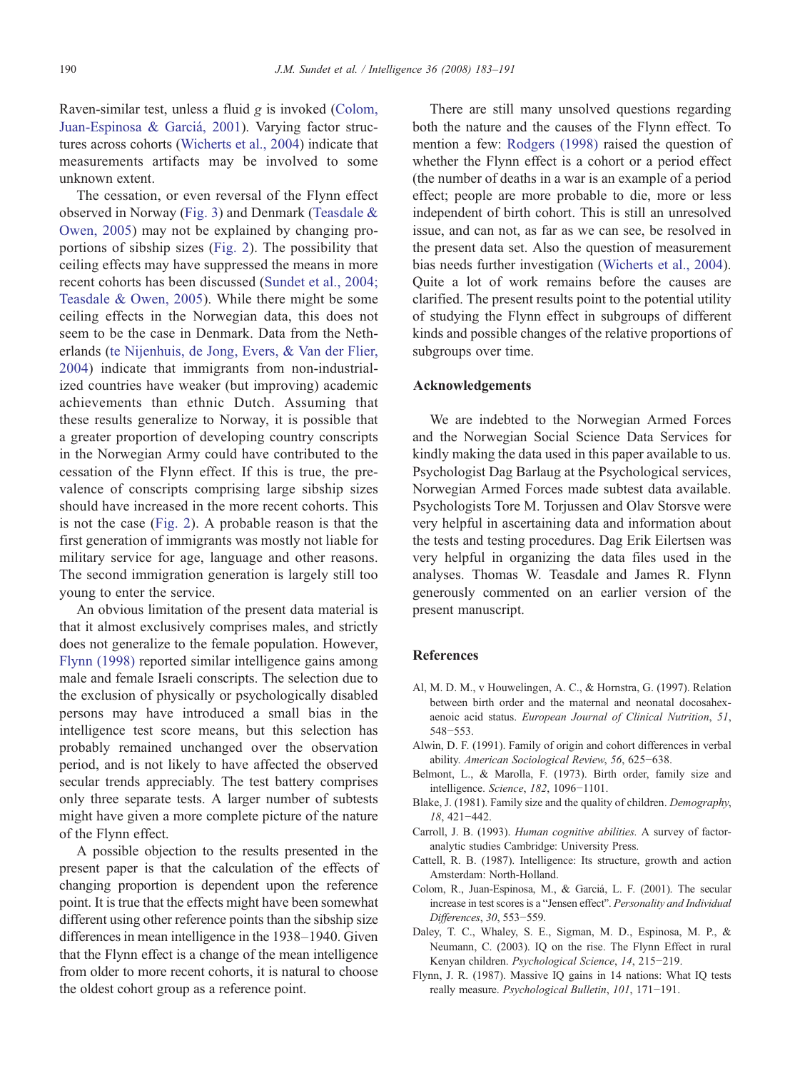<span id="page-7-0"></span>Raven-similar test, unless a fluid g is invoked (Colom, Juan-Espinosa & Garciá, 2001). Varying factor structures across cohorts [\(Wicherts et al., 2004\)](#page-8-0) indicate that measurements artifacts may be involved to some unknown extent.

The cessation, or even reversal of the Flynn effect observed in Norway [\(Fig. 3\)](#page-4-0) and Denmark [\(Teasdale &](#page-8-0) [Owen, 2005\)](#page-8-0) may not be explained by changing proportions of sibship sizes [\(Fig. 2](#page-4-0)). The possibility that ceiling effects may have suppressed the means in more recent cohorts has been discussed [\(Sundet et al., 2004;](#page-8-0) [Teasdale & Owen, 2005\)](#page-8-0). While there might be some ceiling effects in the Norwegian data, this does not seem to be the case in Denmark. Data from the Netherlands [\(te Nijenhuis, de Jong, Evers, & Van der Flier,](#page-8-0) [2004](#page-8-0)) indicate that immigrants from non-industrialized countries have weaker (but improving) academic achievements than ethnic Dutch. Assuming that these results generalize to Norway, it is possible that a greater proportion of developing country conscripts in the Norwegian Army could have contributed to the cessation of the Flynn effect. If this is true, the prevalence of conscripts comprising large sibship sizes should have increased in the more recent cohorts. This is not the case ([Fig. 2](#page-4-0)). A probable reason is that the first generation of immigrants was mostly not liable for military service for age, language and other reasons. The second immigration generation is largely still too young to enter the service.

An obvious limitation of the present data material is that it almost exclusively comprises males, and strictly does not generalize to the female population. However, [Flynn \(1998\)](#page-8-0) reported similar intelligence gains among male and female Israeli conscripts. The selection due to the exclusion of physically or psychologically disabled persons may have introduced a small bias in the intelligence test score means, but this selection has probably remained unchanged over the observation period, and is not likely to have affected the observed secular trends appreciably. The test battery comprises only three separate tests. A larger number of subtests might have given a more complete picture of the nature of the Flynn effect.

A possible objection to the results presented in the present paper is that the calculation of the effects of changing proportion is dependent upon the reference point. It is true that the effects might have been somewhat different using other reference points than the sibship size differences in mean intelligence in the 1938–1940. Given that the Flynn effect is a change of the mean intelligence from older to more recent cohorts, it is natural to choose the oldest cohort group as a reference point.

There are still many unsolved questions regarding both the nature and the causes of the Flynn effect. To mention a few: [Rodgers \(1998\)](#page-8-0) raised the question of whether the Flynn effect is a cohort or a period effect (the number of deaths in a war is an example of a period effect; people are more probable to die, more or less independent of birth cohort. This is still an unresolved issue, and can not, as far as we can see, be resolved in the present data set. Also the question of measurement bias needs further investigation [\(Wicherts et al., 2004\)](#page-8-0). Quite a lot of work remains before the causes are clarified. The present results point to the potential utility of studying the Flynn effect in subgroups of different kinds and possible changes of the relative proportions of subgroups over time.

## Acknowledgements

We are indebted to the Norwegian Armed Forces and the Norwegian Social Science Data Services for kindly making the data used in this paper available to us. Psychologist Dag Barlaug at the Psychological services, Norwegian Armed Forces made subtest data available. Psychologists Tore M. Torjussen and Olav Storsve were very helpful in ascertaining data and information about the tests and testing procedures. Dag Erik Eilertsen was very helpful in organizing the data files used in the analyses. Thomas W. Teasdale and James R. Flynn generously commented on an earlier version of the present manuscript.

#### References

- Al, M. D. M., v Houwelingen, A. C., & Hornstra, G. (1997). Relation between birth order and the maternal and neonatal docosahexaenoic acid status. European Journal of Clinical Nutrition, 51, 548−553.
- Alwin, D. F. (1991). Family of origin and cohort differences in verbal ability. American Sociological Review, 56, 625−638.
- Belmont, L., & Marolla, F. (1973). Birth order, family size and intelligence. Science, 182, 1096−1101.
- Blake, J. (1981). Family size and the quality of children. Demography, 18, 421−442.
- Carroll, J. B. (1993). Human cognitive abilities. A survey of factoranalytic studies Cambridge: University Press.
- Cattell, R. B. (1987). Intelligence: Its structure, growth and action Amsterdam: North-Holland.
- Colom, R., Juan-Espinosa, M., & Garciá, L. F. (2001). The secular increase in test scores is a "Jensen effect". Personality and Individual Differences, 30, 553−559.
- Daley, T. C., Whaley, S. E., Sigman, M. D., Espinosa, M. P., & Neumann, C. (2003). IQ on the rise. The Flynn Effect in rural Kenyan children. Psychological Science, 14, 215−219.
- Flynn, J. R. (1987). Massive IQ gains in 14 nations: What IQ tests really measure. Psychological Bulletin, 101, 171−191.